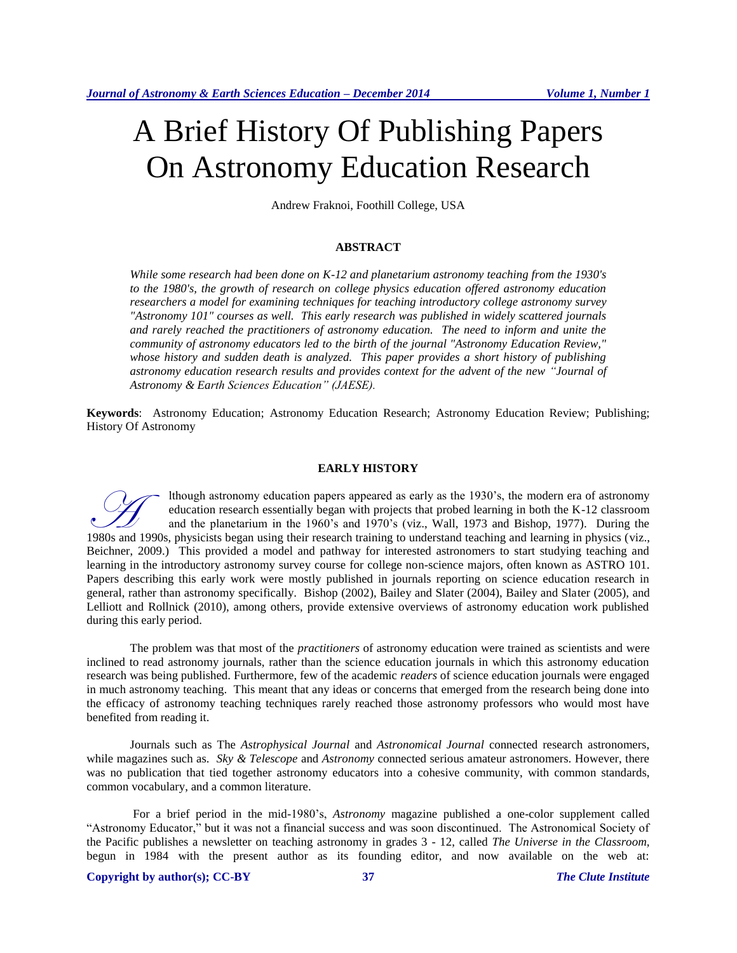# A Brief History Of Publishing Papers On Astronomy Education Research

Andrew Fraknoi, Foothill College, USA

#### **ABSTRACT**

*While some research had been done on K-12 and planetarium astronomy teaching from the 1930's to the 1980's, the growth of research on college physics education offered astronomy education researchers a model for examining techniques for teaching introductory college astronomy survey "Astronomy 101" courses as well. This early research was published in widely scattered journals and rarely reached the practitioners of astronomy education. The need to inform and unite the community of astronomy educators led to the birth of the journal "Astronomy Education Review," whose history and sudden death is analyzed. This paper provides a short history of publishing astronomy education research results and provides context for the advent of the new "Journal of Astronomy & Earth Sciences Education" (JAESE).*

**Keywords**: Astronomy Education; Astronomy Education Research; Astronomy Education Review; Publishing; History Of Astronomy

#### **EARLY HISTORY**

lthough astronomy education papers appeared as early as the 1930's, the modern era of astronomy education research essentially began with projects that probed learning in both the K-12 classroom and the planetarium in the 1960's and 1970's (viz., Wall, 1973 and Bishop, 1977). During the 1980s and 1990s, physicists began using their research training to understand teaching and learning in physics (viz., Wall, 1973 and Bishop, 1977). During the 1980s and 1990s, physicists began using their research training Beichner, 2009.) This provided a model and pathway for interested astronomers to start studying teaching and learning in the introductory astronomy survey course for college non-science majors, often known as ASTRO 101. Papers describing this early work were mostly published in journals reporting on science education research in general, rather than astronomy specifically. Bishop (2002), Bailey and Slater (2004), Bailey and Slater (2005), and Lelliott and Rollnick (2010), among others, provide extensive overviews of astronomy education work published during this early period.

The problem was that most of the *practitioners* of astronomy education were trained as scientists and were inclined to read astronomy journals, rather than the science education journals in which this astronomy education research was being published. Furthermore, few of the academic *readers* of science education journals were engaged in much astronomy teaching. This meant that any ideas or concerns that emerged from the research being done into the efficacy of astronomy teaching techniques rarely reached those astronomy professors who would most have benefited from reading it.

Journals such as The *Astrophysical Journal* and *Astronomical Journal* connected research astronomers, while magazines such as. *Sky & Telescope* and *Astronomy* connected serious amateur astronomers. However, there was no publication that tied together astronomy educators into a cohesive community, with common standards, common vocabulary, and a common literature.

For a brief period in the mid-1980's, *Astronomy* magazine published a one-color supplement called "Astronomy Educator," but it was not a financial success and was soon discontinued. The Astronomical Society of the Pacific publishes a newsletter on teaching astronomy in grades 3 - 12, called *The Universe in the Classroom,*  begun in 1984 with the present author as its founding editor, and now available on the web at: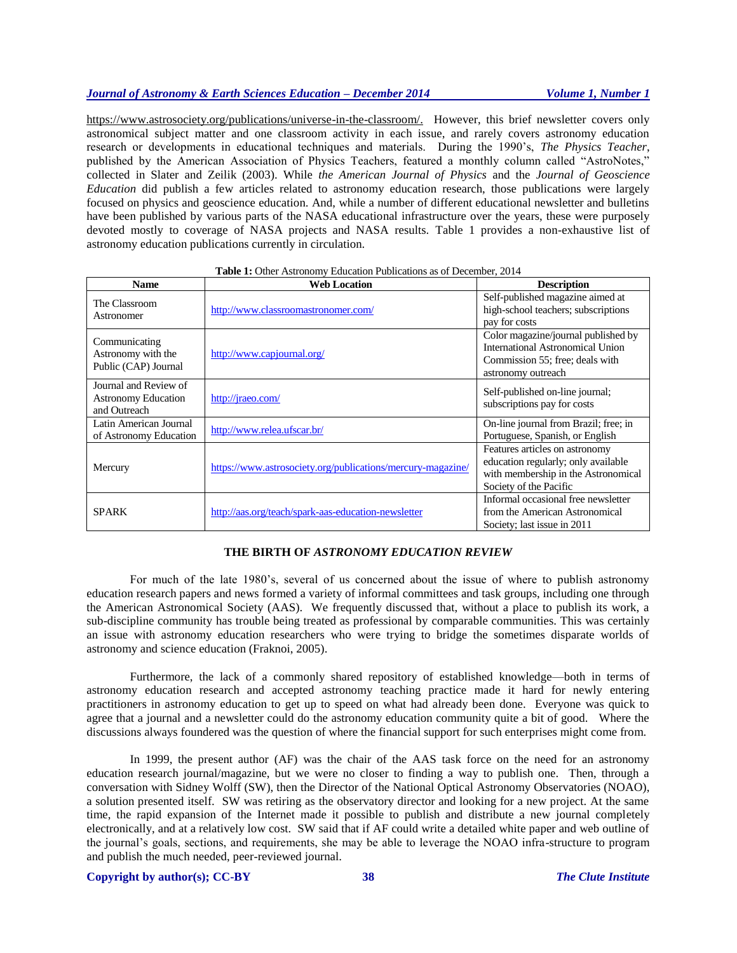# *Journal of Astronomy & Earth Sciences Education – December 2014 Volume 1, Number 1*

[https://www.astrosociety.org/publications/universe-in-the-classroom/.](https://www.astrosociety.org/publications/universe-in-the-classroom/) However, this brief newsletter covers only astronomical subject matter and one classroom activity in each issue, and rarely covers astronomy education research or developments in educational techniques and materials. During the 1990's, *The Physics Teacher*, published by the American Association of Physics Teachers, featured a monthly column called "AstroNotes," collected in Slater and Zeilik (2003). While *the American Journal of Physics* and the *Journal of Geoscience Education* did publish a few articles related to astronomy education research, those publications were largely focused on physics and geoscience education. And, while a number of different educational newsletter and bulletins have been published by various parts of the NASA educational infrastructure over the years, these were purposely devoted mostly to coverage of NASA projects and NASA results. Table 1 provides a non-exhaustive list of astronomy education publications currently in circulation.

| <b>Name</b>                                                         | <b>Web Location</b>                                         | <b>Description</b>                                                                                                                     |
|---------------------------------------------------------------------|-------------------------------------------------------------|----------------------------------------------------------------------------------------------------------------------------------------|
| The Classroom<br>Astronomer                                         | http://www.classroomastronomer.com/                         | Self-published magazine aimed at<br>high-school teachers; subscriptions<br>pay for costs                                               |
| Communicating<br>Astronomy with the<br>Public (CAP) Journal         | http://www.capjournal.org/                                  | Color magazine/journal published by<br>International Astronomical Union<br>Commission 55; free; deals with<br>astronomy outreach       |
| Journal and Review of<br><b>Astronomy Education</b><br>and Outreach | http://jraeo.com/                                           | Self-published on-line journal;<br>subscriptions pay for costs                                                                         |
| Latin American Journal<br>of Astronomy Education                    | http://www.relea.ufscar.br/                                 | On-line journal from Brazil; free; in<br>Portuguese, Spanish, or English                                                               |
| Mercury                                                             | https://www.astrosociety.org/publications/mercury-magazine/ | Features articles on astronomy<br>education regularly; only available<br>with membership in the Astronomical<br>Society of the Pacific |
| <b>SPARK</b>                                                        | http://aas.org/teach/spark-aas-education-newsletter         | Informal occasional free newsletter<br>from the American Astronomical<br>Society; last issue in 2011                                   |

| <b>Table 1:</b> Other Astronomy Education Publications as of December, 2014 |  |
|-----------------------------------------------------------------------------|--|
|-----------------------------------------------------------------------------|--|

#### **THE BIRTH OF** *ASTRONOMY EDUCATION REVIEW*

For much of the late 1980's, several of us concerned about the issue of where to publish astronomy education research papers and news formed a variety of informal committees and task groups, including one through the American Astronomical Society (AAS). We frequently discussed that, without a place to publish its work, a sub-discipline community has trouble being treated as professional by comparable communities. This was certainly an issue with astronomy education researchers who were trying to bridge the sometimes disparate worlds of astronomy and science education (Fraknoi, 2005).

Furthermore, the lack of a commonly shared repository of established knowledge—both in terms of astronomy education research and accepted astronomy teaching practice made it hard for newly entering practitioners in astronomy education to get up to speed on what had already been done. Everyone was quick to agree that a journal and a newsletter could do the astronomy education community quite a bit of good. Where the discussions always foundered was the question of where the financial support for such enterprises might come from.

In 1999, the present author (AF) was the chair of the AAS task force on the need for an astronomy education research journal/magazine, but we were no closer to finding a way to publish one. Then, through a conversation with Sidney Wolff (SW), then the Director of the National Optical Astronomy Observatories (NOAO), a solution presented itself. SW was retiring as the observatory director and looking for a new project. At the same time, the rapid expansion of the Internet made it possible to publish and distribute a new journal completely electronically, and at a relatively low cost. SW said that if AF could write a detailed white paper and web outline of the journal's goals, sections, and requirements, she may be able to leverage the NOAO infra-structure to program and publish the much needed, peer-reviewed journal.

# **Copyright by author(s); CC-BY 38** *The Clute Institute*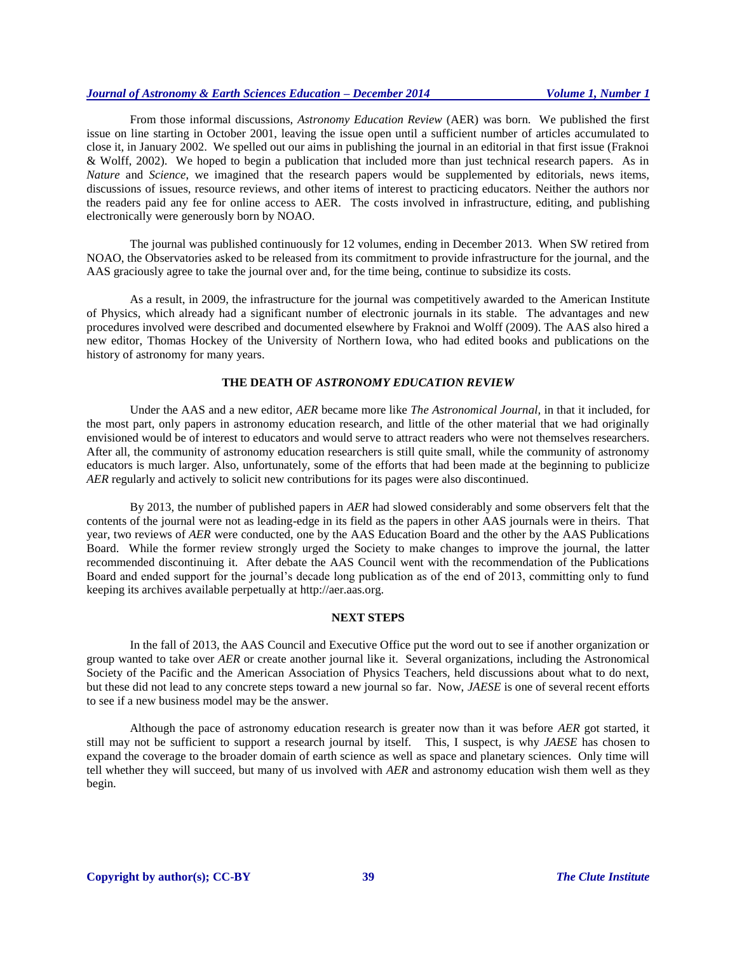# *Journal of Astronomy & Earth Sciences Education – December 2014 Volume 1, Number 1*

From those informal discussions, *Astronomy Education Review* (AER) was born. We published the first issue on line starting in October 2001, leaving the issue open until a sufficient number of articles accumulated to close it, in January 2002. We spelled out our aims in publishing the journal in an editorial in that first issue (Fraknoi & Wolff, 2002). We hoped to begin a publication that included more than just technical research papers. As in *Nature* and *Science*, we imagined that the research papers would be supplemented by editorials, news items, discussions of issues, resource reviews, and other items of interest to practicing educators. Neither the authors nor the readers paid any fee for online access to AER. The costs involved in infrastructure, editing, and publishing electronically were generously born by NOAO.

The journal was published continuously for 12 volumes, ending in December 2013. When SW retired from NOAO, the Observatories asked to be released from its commitment to provide infrastructure for the journal, and the AAS graciously agree to take the journal over and, for the time being, continue to subsidize its costs.

As a result, in 2009, the infrastructure for the journal was competitively awarded to the American Institute of Physics, which already had a significant number of electronic journals in its stable. The advantages and new procedures involved were described and documented elsewhere by Fraknoi and Wolff (2009). The AAS also hired a new editor, Thomas Hockey of the University of Northern Iowa, who had edited books and publications on the history of astronomy for many years.

#### **THE DEATH OF** *ASTRONOMY EDUCATION REVIEW*

Under the AAS and a new editor, *AER* became more like *The Astronomical Journal,* in that it included, for the most part, only papers in astronomy education research, and little of the other material that we had originally envisioned would be of interest to educators and would serve to attract readers who were not themselves researchers. After all, the community of astronomy education researchers is still quite small, while the community of astronomy educators is much larger. Also, unfortunately, some of the efforts that had been made at the beginning to publicize *AER* regularly and actively to solicit new contributions for its pages were also discontinued.

By 2013, the number of published papers in *AER* had slowed considerably and some observers felt that the contents of the journal were not as leading-edge in its field as the papers in other AAS journals were in theirs. That year, two reviews of *AER* were conducted, one by the AAS Education Board and the other by the AAS Publications Board. While the former review strongly urged the Society to make changes to improve the journal, the latter recommended discontinuing it. After debate the AAS Council went with the recommendation of the Publications Board and ended support for the journal's decade long publication as of the end of 2013, committing only to fund keeping its archives available perpetually at http://aer.aas.org.

## **NEXT STEPS**

In the fall of 2013, the AAS Council and Executive Office put the word out to see if another organization or group wanted to take over *AER* or create another journal like it. Several organizations, including the Astronomical Society of the Pacific and the American Association of Physics Teachers, held discussions about what to do next, but these did not lead to any concrete steps toward a new journal so far. Now, *JAESE* is one of several recent efforts to see if a new business model may be the answer.

Although the pace of astronomy education research is greater now than it was before *AER* got started, it still may not be sufficient to support a research journal by itself. This, I suspect, is why *JAESE* has chosen to expand the coverage to the broader domain of earth science as well as space and planetary sciences. Only time will tell whether they will succeed, but many of us involved with *AER* and astronomy education wish them well as they begin.